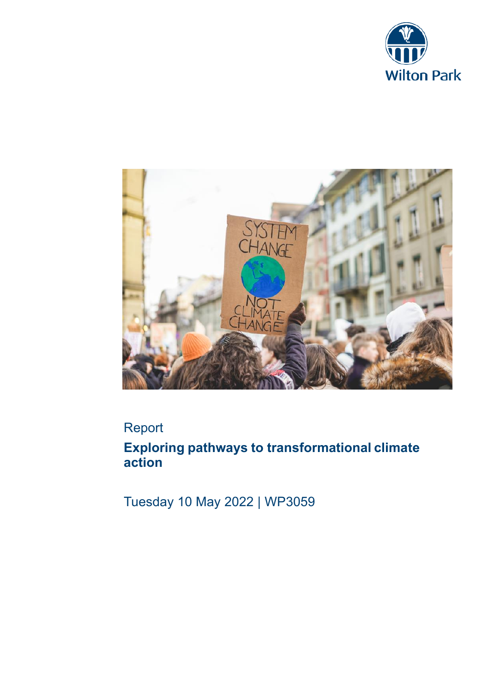



# Report

**Exploring pathways to transformational climate action**

Tuesday 10 May 2022 | WP3059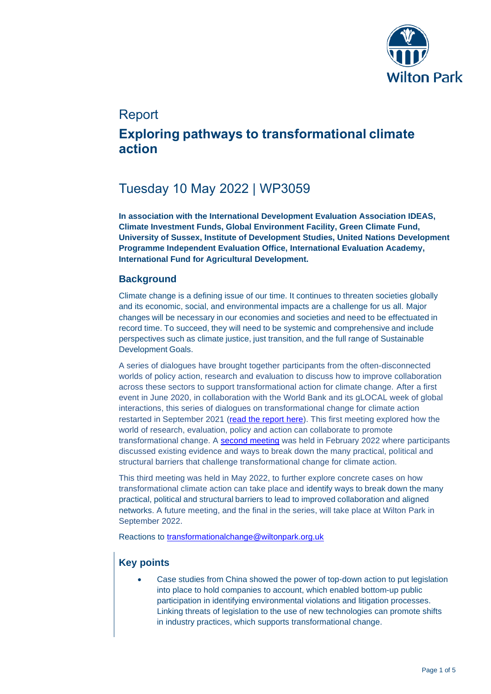

## Report

## **Exploring pathways to transformational climate action**

# Tuesday 10 May 2022 | WP3059

**In association with the International Development Evaluation Association IDEAS, Climate Investment Funds, Global Environment Facility, Green Climate Fund, University of Sussex, Institute of Development Studies, United Nations Development Programme Independent Evaluation Office, International Evaluation Academy, International Fund for Agricultural Development.**

## **Background**

Climate change is a defining issue of our time. It continues to threaten societies globally and its economic, social, and environmental impacts are a challenge for us all. Major changes will be necessary in our economies and societies and need to be effectuated in record time. To succeed, they will need to be systemic and comprehensive and include perspectives such as climate justice, just transition, and the full range of Sustainable Development Goals.

A series of dialogues have brought together participants from the often-disconnected worlds of policy action, research and evaluation to discuss how to improve collaboration across these sectors to support transformational action for climate change. After a first event in June 2020, in collaboration with the World Bank and its gLOCAL week of global interactions, this series of dialogues on transformational change for climate action restarted in September 2021 [\(read the report here\)](https://www.wiltonpark.org.uk/wp-content/uploads/2021/10/WP1965-Final-report.pdf). This first meeting explored how the world of research, evaluation, policy and action can collaborate to promote transformational change. A [second meeting](https://www.wiltonpark.org.uk/wp-content/uploads/2021/12/WP2027V-Report-1.pdf) was held in February 2022 where participants discussed existing evidence and ways to break down the many practical, political and structural barriers that challenge transformational change for climate action.

This third meeting was held in May 2022, to further explore concrete cases on how transformational climate action can take place and identify ways to break down the many practical, political and structural barriers to lead to improved collaboration and aligned networks. A future meeting, and the final in the series, will take place at Wilton Park in September 2022.

Reactions to [transformationalchange@wiltonpark.org.uk](mailto:transformationalchange@wiltonpark.org.uk)

## **Key points**

• Case studies from China showed the power of top-down action to put legislation into place to hold companies to account, which enabled bottom-up public participation in identifying environmental violations and litigation processes. Linking threats of legislation to the use of new technologies can promote shifts in industry practices, which supports transformational change.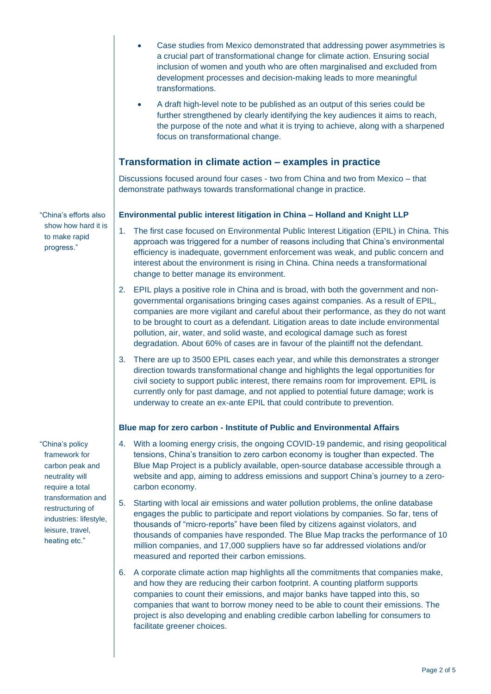|                                                                                                                                                                                                    | Case studies from Mexico demonstrated that addressing power asymmetries is<br>a crucial part of transformational change for climate action. Ensuring social<br>inclusion of women and youth who are often marginalised and excluded from<br>development processes and decision-making leads to more meaningful<br>transformations.                                                                                                                                                                                                |
|----------------------------------------------------------------------------------------------------------------------------------------------------------------------------------------------------|-----------------------------------------------------------------------------------------------------------------------------------------------------------------------------------------------------------------------------------------------------------------------------------------------------------------------------------------------------------------------------------------------------------------------------------------------------------------------------------------------------------------------------------|
|                                                                                                                                                                                                    | A draft high-level note to be published as an output of this series could be<br>$\bullet$<br>further strengthened by clearly identifying the key audiences it aims to reach,<br>the purpose of the note and what it is trying to achieve, along with a sharpened<br>focus on transformational change.                                                                                                                                                                                                                             |
|                                                                                                                                                                                                    | Transformation in climate action – examples in practice                                                                                                                                                                                                                                                                                                                                                                                                                                                                           |
|                                                                                                                                                                                                    | Discussions focused around four cases - two from China and two from Mexico - that<br>demonstrate pathways towards transformational change in practice.                                                                                                                                                                                                                                                                                                                                                                            |
| "China's efforts also<br>show how hard it is<br>to make rapid<br>progress."                                                                                                                        | Environmental public interest litigation in China - Holland and Knight LLP                                                                                                                                                                                                                                                                                                                                                                                                                                                        |
|                                                                                                                                                                                                    | 1.<br>The first case focused on Environmental Public Interest Litigation (EPIL) in China. This<br>approach was triggered for a number of reasons including that China's environmental<br>efficiency is inadequate, government enforcement was weak, and public concern and<br>interest about the environment is rising in China. China needs a transformational<br>change to better manage its environment.                                                                                                                       |
|                                                                                                                                                                                                    | 2. EPIL plays a positive role in China and is broad, with both the government and non-<br>governmental organisations bringing cases against companies. As a result of EPIL,<br>companies are more vigilant and careful about their performance, as they do not want<br>to be brought to court as a defendant. Litigation areas to date include environmental<br>pollution, air, water, and solid waste, and ecological damage such as forest<br>degradation. About 60% of cases are in favour of the plaintiff not the defendant. |
|                                                                                                                                                                                                    | 3. There are up to 3500 EPIL cases each year, and while this demonstrates a stronger<br>direction towards transformational change and highlights the legal opportunities for<br>civil society to support public interest, there remains room for improvement. EPIL is<br>currently only for past damage, and not applied to potential future damage; work is<br>underway to create an ex-ante EPIL that could contribute to prevention.                                                                                           |
|                                                                                                                                                                                                    | Blue map for zero carbon - Institute of Public and Environmental Affairs                                                                                                                                                                                                                                                                                                                                                                                                                                                          |
| "China's policy<br>framework for<br>carbon peak and<br>neutrality will<br>require a total<br>transformation and<br>restructuring of<br>industries: lifestyle,<br>leisure, travel,<br>heating etc." | 4. With a looming energy crisis, the ongoing COVID-19 pandemic, and rising geopolitical<br>tensions, China's transition to zero carbon economy is tougher than expected. The<br>Blue Map Project is a publicly available, open-source database accessible through a<br>website and app, aiming to address emissions and support China's journey to a zero-<br>carbon economy.                                                                                                                                                     |
|                                                                                                                                                                                                    | 5.<br>Starting with local air emissions and water pollution problems, the online database<br>engages the public to participate and report violations by companies. So far, tens of<br>thousands of "micro-reports" have been filed by citizens against violators, and<br>thousands of companies have responded. The Blue Map tracks the performance of 10<br>million companies, and 17,000 suppliers have so far addressed violations and/or<br>measured and reported their carbon emissions.                                     |
|                                                                                                                                                                                                    | A corporate climate action man bigplights all the commitments that companies make                                                                                                                                                                                                                                                                                                                                                                                                                                                 |

6. A corporate climate action map highlights all the commitments that companies make, and how they are reducing their carbon footprint. A counting platform supports companies to count their emissions, and major banks have tapped into this, so companies that want to borrow money need to be able to count their emissions. The project is also developing and enabling credible carbon labelling for consumers to facilitate greener choices.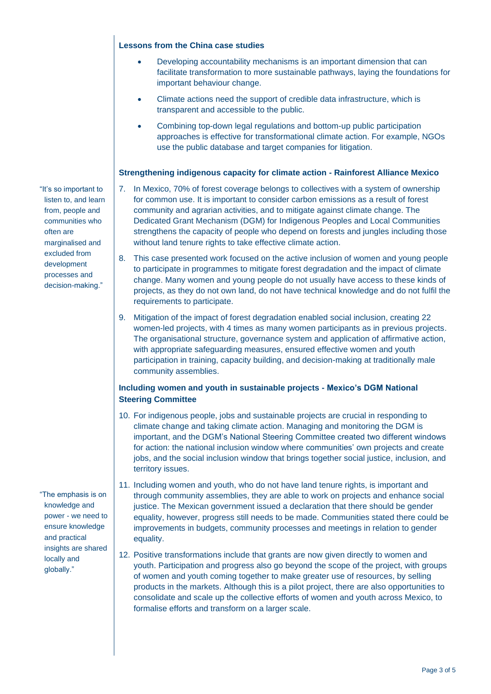#### **Lessons from the China case studies**

- Developing accountability mechanisms is an important dimension that can facilitate transformation to more sustainable pathways, laying the foundations for important behaviour change.
- Climate actions need the support of credible data infrastructure, which is transparent and accessible to the public.
- Combining top-down legal regulations and bottom-up public participation approaches is effective for transformational climate action. For example, NGOs use the public database and target companies for litigation.

### **Strengthening indigenous capacity for climate action - Rainforest Alliance Mexico**

- 7. In Mexico, 70% of forest coverage belongs to collectives with a system of ownership for common use. It is important to consider carbon emissions as a result of forest community and agrarian activities, and to mitigate against climate change. The Dedicated Grant Mechanism (DGM) for Indigenous Peoples and Local Communities strengthens the capacity of people who depend on forests and jungles including those without land tenure rights to take effective climate action.
- 8. This case presented work focused on the active inclusion of women and young people to participate in programmes to mitigate forest degradation and the impact of climate change. Many women and young people do not usually have access to these kinds of projects, as they do not own land, do not have technical knowledge and do not fulfil the requirements to participate.
- 9. Mitigation of the impact of forest degradation enabled social inclusion, creating 22 women-led projects, with 4 times as many women participants as in previous projects. The organisational structure, governance system and application of affirmative action, with appropriate safeguarding measures, ensured effective women and youth participation in training, capacity building, and decision-making at traditionally male community assemblies.

## **Including women and youth in sustainable projects - Mexico's DGM National Steering Committee**

- 10. For indigenous people, jobs and sustainable projects are crucial in responding to climate change and taking climate action. Managing and monitoring the DGM is important, and the DGM's National Steering Committee created two different windows for action: the national inclusion window where communities' own projects and create jobs, and the social inclusion window that brings together social justice, inclusion, and territory issues.
- 11. Including women and youth, who do not have land tenure rights, is important and through community assemblies, they are able to work on projects and enhance social justice. The Mexican government issued a declaration that there should be gender equality, however, progress still needs to be made. Communities stated there could be improvements in budgets, community processes and meetings in relation to gender equality.
- 12. Positive transformations include that grants are now given directly to women and youth. Participation and progress also go beyond the scope of the project, with groups of women and youth coming together to make greater use of resources, by selling products in the markets. Although this is a pilot project, there are also opportunities to consolidate and scale up the collective efforts of women and youth across Mexico, to formalise efforts and transform on a larger scale.

"It's so important to listen to, and learn from, people and communities who often are marginalised and excluded from development processes and decision-making."

"The emphasis is on knowledge and power - we need to ensure knowledge and practical insights are shared locally and globally."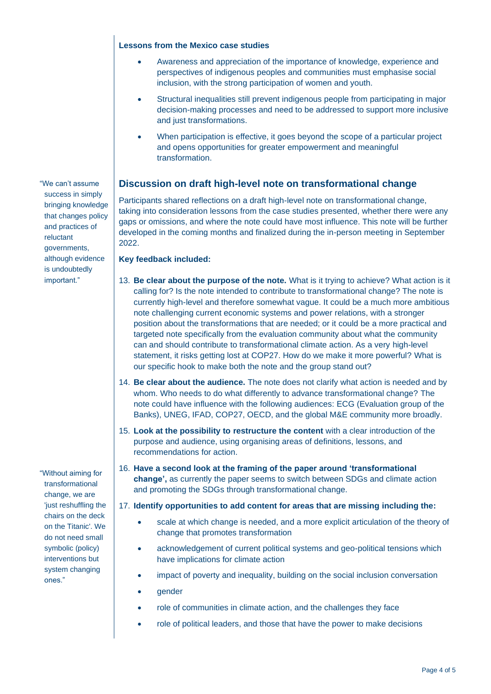#### **Lessons from the Mexico case studies**

- Awareness and appreciation of the importance of knowledge, experience and perspectives of indigenous peoples and communities must emphasise social inclusion, with the strong participation of women and youth.
- Structural inequalities still prevent indigenous people from participating in major decision-making processes and need to be addressed to support more inclusive and just transformations.
- When participation is effective, it goes beyond the scope of a particular project and opens opportunities for greater empowerment and meaningful transformation.

## **Discussion on draft high-level note on transformational change**

Participants shared reflections on a draft high-level note on transformational change, taking into consideration lessons from the case studies presented, whether there were any gaps or omissions, and where the note could have most influence. This note will be further developed in the coming months and finalized during the in-person meeting in September 2022.

### **Key feedback included:**

- 13. **Be clear about the purpose of the note.** What is it trying to achieve? What action is it calling for? Is the note intended to contribute to transformational change? The note is currently high-level and therefore somewhat vague. It could be a much more ambitious note challenging current economic systems and power relations, with a stronger position about the transformations that are needed; or it could be a more practical and targeted note specifically from the evaluation community about what the community can and should contribute to transformational climate action. As a very high-level statement, it risks getting lost at COP27. How do we make it more powerful? What is our specific hook to make both the note and the group stand out?
- 14. **Be clear about the audience.** The note does not clarify what action is needed and by whom. Who needs to do what differently to advance transformational change? The note could have influence with the following audiences: ECG (Evaluation group of the Banks), UNEG, IFAD, COP27, OECD, and the global M&E community more broadly.
- 15. **Look at the possibility to restructure the content** with a clear introduction of the purpose and audience, using organising areas of definitions, lessons, and recommendations for action.
- 16. **Have a second look at the framing of the paper around 'transformational change',** as currently the paper seems to switch between SDGs and climate action and promoting the SDGs through transformational change.

### 17. **Identify opportunities to add content for areas that are missing including the:**

- scale at which change is needed, and a more explicit articulation of the theory of change that promotes transformation
- acknowledgement of current political systems and geo-political tensions which have implications for climate action
- impact of poverty and inequality, building on the social inclusion conversation
- gender
- role of communities in climate action, and the challenges they face
- role of political leaders, and those that have the power to make decisions

"We can't assume success in simply bringing knowledge that changes policy and practices of reluctant governments, although evidence is undoubtedly important."

"Without aiming for transformational change, we are 'just reshuffling the chairs on the deck on the Titanic'. We do not need small symbolic (policy) interventions but system changing ones."